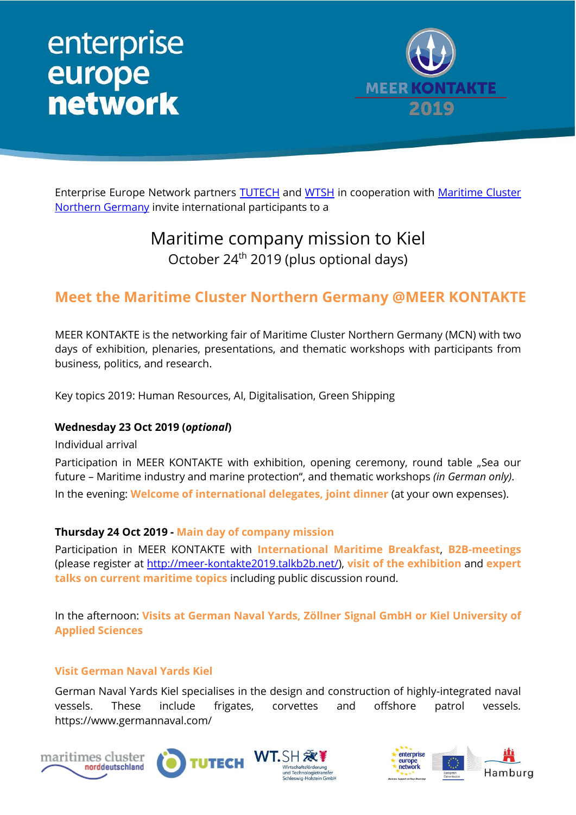## enterprise<br>europe **network**



Enterprise Europe Network partners **TUTECH** and [WTSH](https://wtsh.de/) in cooperation with Maritime Cluster [Northern Germany](https://www.maritimes-cluster.de/en/) invite international participants to a

### Maritime company mission to Kiel October 24th 2019 (plus optional days)

### **Meet the Maritime Cluster Northern Germany @MEER KONTAKTE**

MEER KONTAKTE is the networking fair of Maritime Cluster Northern Germany (MCN) with two days of exhibition, plenaries, presentations, and thematic workshops with participants from business, politics, and research.

Key topics 2019: Human Resources, AI, Digitalisation, Green Shipping

#### **Wednesday 23 Oct 2019 (***optional***)**

Individual arrival

Participation in MEER KONTAKTE with exhibition, opening ceremony, round table "Sea our future – Maritime industry and marine protection", and thematic workshops *(in German only)*. In the evening: **Welcome of international delegates, joint dinner** (at your own expenses).

#### **Thursday 24 Oct 2019 - Main day of company mission**

Participation in MEER KONTAKTE with **International Maritime Breakfast**, **B2B-meetings** (please register at [http://meer-kontakte2019.talkb2b.net/\)](http://meer-kontakte2019.talkb2b.net/), **visit of the exhibition** and **expert talks on current maritime topics** including public discussion round.

In the afternoon: **Visits at German Naval Yards, Zöllner Signal GmbH or Kiel University of Applied Sciences**

#### **Visit German Naval Yards Kiel**

German Naval Yards Kiel specialises in the design and construction of highly-integrated naval vessels. These include frigates, corvettes and offshore patrol vessels. https://www.germannaval.com/







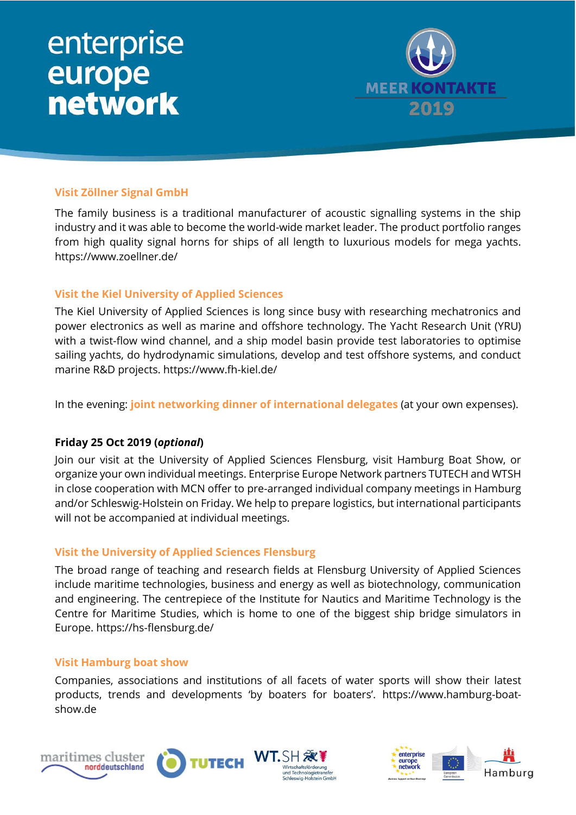# enterprise<br>
europe<br>
network



#### **Visit Zöllner Signal GmbH**

The family business is a traditional manufacturer of acoustic signalling systems in the ship industry and it was able to become the world-wide market leader. The product portfolio ranges from high quality signal horns for ships of all length to luxurious models for mega yachts. https://www.zoellner.de/

#### **Visit the Kiel University of Applied Sciences**

The Kiel University of Applied Sciences is long since busy with researching mechatronics and power electronics as well as marine and offshore technology. The Yacht Research Unit (YRU) with a twist-flow wind channel, and a ship model basin provide test laboratories to optimise sailing yachts, do hydrodynamic simulations, develop and test offshore systems, and conduct marine R&D projects. https://www.fh-kiel.de/

In the evening: **joint networking dinner of international delegates** (at your own expenses).

#### **Friday 25 Oct 2019 (***optional***)**

Join our visit at the University of Applied Sciences Flensburg, visit Hamburg Boat Show, or organize your own individual meetings. Enterprise Europe Network partners TUTECH and WTSH in close cooperation with MCN offer to pre-arranged individual company meetings in Hamburg and/or Schleswig-Holstein on Friday. We help to prepare logistics, but international participants will not be accompanied at individual meetings.

#### **Visit the University of Applied Sciences Flensburg**

The broad range of teaching and research fields at Flensburg University of Applied Sciences include maritime technologies, business and energy as well as biotechnology, communication and engineering. The centrepiece of the Institute for Nautics and Maritime Technology is the Centre for Maritime Studies, which is home to one of the biggest ship bridge simulators in Europe. https://hs-flensburg.de/

#### **Visit Hamburg boat show**

Companies, associations and institutions of all facets of water sports will show their latest products, trends and developments 'by boaters for boaters'. https://www.hamburg-boatshow.de